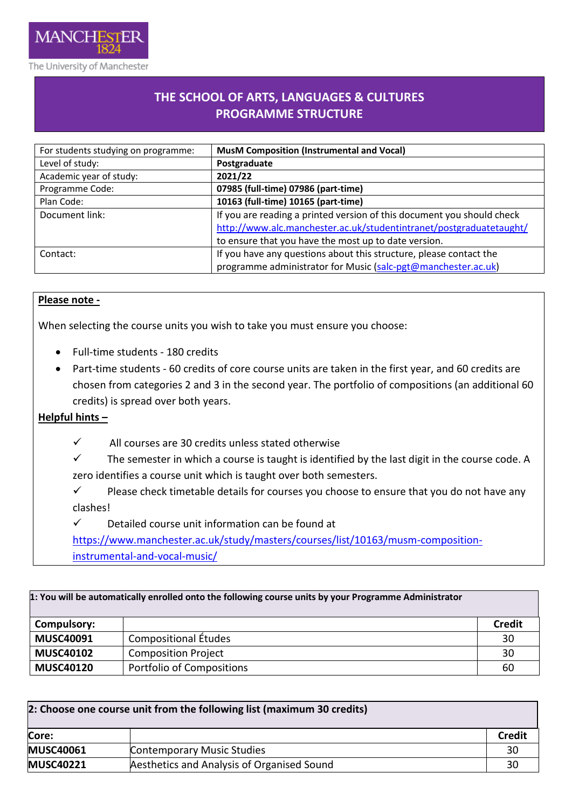

**THE SCHOOL OF ARTS, LANGUAGES & CULTURES PROGRAMME STRUCTURE**

| For students studying on programme: | <b>MusM Composition (Instrumental and Vocal)</b>                       |
|-------------------------------------|------------------------------------------------------------------------|
| Level of study:                     | Postgraduate                                                           |
| Academic year of study:             | 2021/22                                                                |
| Programme Code:                     | 07985 (full-time) 07986 (part-time)                                    |
| Plan Code:                          | 10163 (full-time) 10165 (part-time)                                    |
| Document link:                      | If you are reading a printed version of this document you should check |
|                                     | http://www.alc.manchester.ac.uk/studentintranet/postgraduatetaught/    |
|                                     | to ensure that you have the most up to date version.                   |
| Contact:                            | If you have any questions about this structure, please contact the     |
|                                     | programme administrator for Music (salc-pgt@manchester.ac.uk)          |

## **Please note -**

When selecting the course units you wish to take you must ensure you choose:

- Full-time students 180 credits
- Part-time students 60 credits of core course units are taken in the first year, and 60 credits are chosen from categories 2 and 3 in the second year. The portfolio of compositions (an additional 60 credits) is spread over both years.

## **Helpful hints –**

- $\checkmark$  All courses are 30 credits unless stated otherwise
- $\checkmark$  The semester in which a course is taught is identified by the last digit in the course code. A zero identifies a course unit which is taught over both semesters.
- $\checkmark$  Please check timetable details for courses you choose to ensure that you do not have any clashes!
- $\checkmark$  Detailed course unit information can be found at

[https://www.manchester.ac.uk/study/masters/courses/list/10163/musm-composition](https://www.manchester.ac.uk/study/masters/courses/list/10163/musm-composition-instrumental-and-vocal-music/)[instrumental-and-vocal-music/](https://www.manchester.ac.uk/study/masters/courses/list/10163/musm-composition-instrumental-and-vocal-music/)

| 1: You will be automatically enrolled onto the following course units by your Programme Administrator |                                  |               |
|-------------------------------------------------------------------------------------------------------|----------------------------------|---------------|
| <b>Compulsory:</b>                                                                                    |                                  | <b>Credit</b> |
| <b>MUSC40091</b>                                                                                      | Compositional Études             | 30            |
| <b>MUSC40102</b>                                                                                      | <b>Composition Project</b>       | 30            |
| <b>MUSC40120</b>                                                                                      | <b>Portfolio of Compositions</b> | 60            |

| 2: Choose one course unit from the following list (maximum 30 credits) |                                            |               |  |
|------------------------------------------------------------------------|--------------------------------------------|---------------|--|
| Core:                                                                  |                                            | <b>Credit</b> |  |
| <b>MUSC40061</b>                                                       | <b>Contemporary Music Studies</b>          | 30            |  |
| <b>MUSC40221</b>                                                       | Aesthetics and Analysis of Organised Sound | 30            |  |